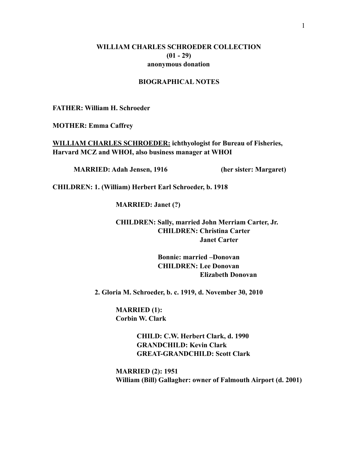### **WILLIAM CHARLES SCHROEDER COLLECTION (01 - 29) anonymous donation**

## **BIOGRAPHICAL NOTES**

**FATHER: William H. Schroeder** 

**MOTHER: Emma Caffrey** 

**WILLIAM CHARLES SCHROEDER: ichthyologist for Bureau of Fisheries, Harvard MCZ and WHOI, also business manager at WHOI** 

**MARRIED: Adah Jensen, 1916 (her sister: Margaret)** 

**CHILDREN: 1. (William) Herbert Earl Schroeder, b. 1918** 

 **MARRIED: Janet (?)** 

 **CHILDREN: Sally, married John Merriam Carter, Jr. CHILDREN: Christina Carter Janet Carter** 

> **Bonnie: married –Donovan CHILDREN: Lee Donovan Elizabeth Donovan**

 **2. Gloria M. Schroeder, b. c. 1919, d. November 30, 2010** 

**MARRIED (1): Corbin W. Clark** 

> **CHILD: C.W. Herbert Clark, d. 1990 GRANDCHILD: Kevin Clark GREAT-GRANDCHILD: Scott Clark**

 **MARRIED (2): 1951 William (Bill) Gallagher: owner of Falmouth Airport (d. 2001)**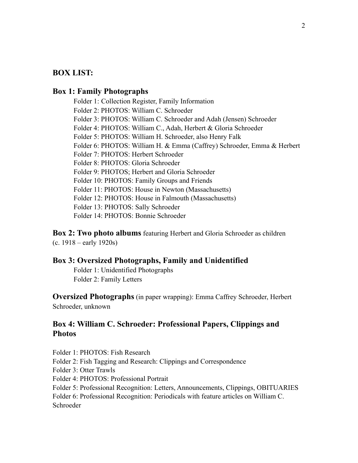# **BOX LIST:**

### **Box 1: Family Photographs**

Folder 1: Collection Register, Family Information Folder 2: PHOTOS: William C. Schroeder Folder 3: PHOTOS: William C. Schroeder and Adah (Jensen) Schroeder Folder 4: PHOTOS: William C., Adah, Herbert & Gloria Schroeder Folder 5: PHOTOS: William H. Schroeder, also Henry Falk Folder 6: PHOTOS: William H. & Emma (Caffrey) Schroeder, Emma & Herbert Folder 7: PHOTOS: Herbert Schroeder Folder 8: PHOTOS: Gloria Schroeder Folder 9: PHOTOS; Herbert and Gloria Schroeder Folder 10: PHOTOS: Family Groups and Friends Folder 11: PHOTOS: House in Newton (Massachusetts) Folder 12: PHOTOS: House in Falmouth (Massachusetts) Folder 13: PHOTOS: Sally Schroeder Folder 14: PHOTOS: Bonnie Schroeder

**Box 2: Two photo albums** featuring Herbert and Gloria Schroeder as children (c. 1918 – early 1920s)

### **Box 3: Oversized Photographs, Family and Unidentified**

Folder 1: Unidentified Photographs Folder 2: Family Letters

**Oversized Photographs** (in paper wrapping): Emma Caffrey Schroeder, Herbert Schroeder, unknown

# **Box 4: William C. Schroeder: Professional Papers, Clippings and Photos**

Folder 1: PHOTOS: Fish Research

Folder 2: Fish Tagging and Research: Clippings and Correspondence

Folder 3: Otter Trawls

Folder 4: PHOTOS: Professional Portrait

Folder 5: Professional Recognition: Letters, Announcements, Clippings, OBITUARIES

Folder 6: Professional Recognition: Periodicals with feature articles on William C. Schroeder